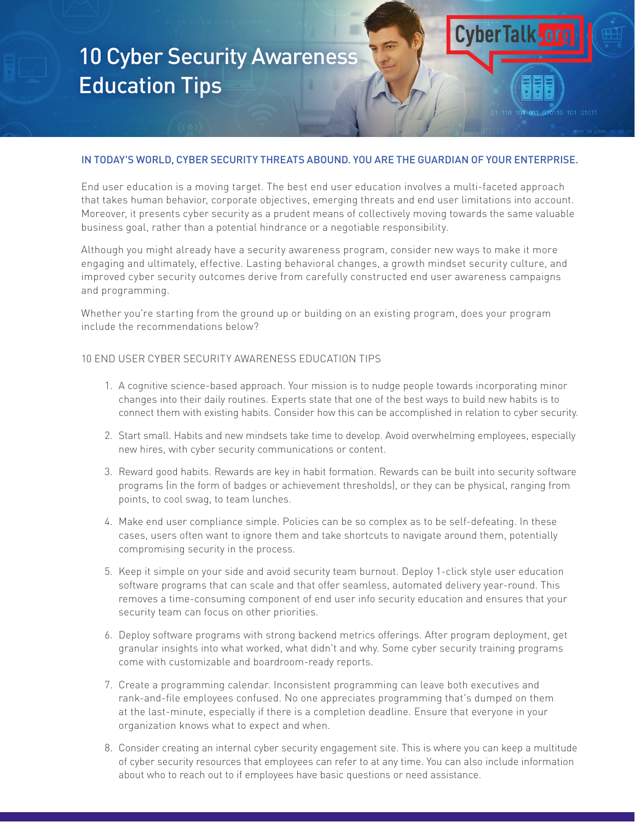# 10 Cyber Security Awareness Education Tips

## IN TODAY'S WORLD, CYBER SECURITY THREATS ABOUND. YOU ARE THE GUARDIAN OF YOUR ENTERPRISE.

**CyberTalk** 

End user education is a moving target. The best end user education involves a multi-faceted approach that takes human behavior, corporate objectives, emerging threats and end user limitations into account. Moreover, it presents cyber security as a prudent means of collectively moving towards the same valuable business goal, rather than a potential hindrance or a negotiable responsibility.

Although you might already have a security awareness program, consider new ways to make it more engaging and ultimately, effective. Lasting behavioral changes, a growth mindset security culture, and improved cyber security outcomes derive from carefully constructed end user awareness campaigns and programming.

Whether you're starting from the ground up or building on an existing program, does your program include the recommendations below?

### 10 END USER CYBER SECURITY AWARENESS EDUCATION TIPS

- 1. A cognitive science-based approach. Your mission is to nudge people towards incorporating minor changes into their daily routines. Experts state that one of the best ways to build new habits is to connect them with existing habits. Consider how this can be accomplished in relation to cyber security.
- 2. Start small. Habits and new mindsets take time to develop. Avoid overwhelming employees, especially new hires, with cyber security communications or content.
- 3. Reward good habits. Rewards are key in habit formation. Rewards can be built into security software programs (in the form of badges or achievement thresholds), or they can be physical, ranging from points, to cool swag, to team lunches.
- 4. Make end user compliance simple. Policies can be so complex as to be self-defeating. In these cases, users often want to ignore them and take shortcuts to navigate around them, potentially compromising security in the process.
- 5. Keep it simple on your side and avoid security team burnout. Deploy 1-click style user education software programs that can scale and that offer seamless, automated delivery year-round. This removes a time-consuming component of end user info security education and ensures that your security team can focus on other priorities.
- 6. Deploy software programs with strong backend metrics offerings. After program deployment, get granular insights into what worked, what didn't and why. Some cyber security training programs come with customizable and boardroom-ready reports.
- 7. Create a programming calendar. Inconsistent programming can leave both executives and rank-and-file employees confused. No one appreciates programming that's dumped on them at the last-minute, especially if there is a completion deadline. Ensure that everyone in your organization knows what to expect and when.
- 8. Consider creating an internal cyber security engagement site. This is where you can keep a multitude of cyber security resources that employees can refer to at any time. You can also include information about who to reach out to if employees have basic questions or need assistance.